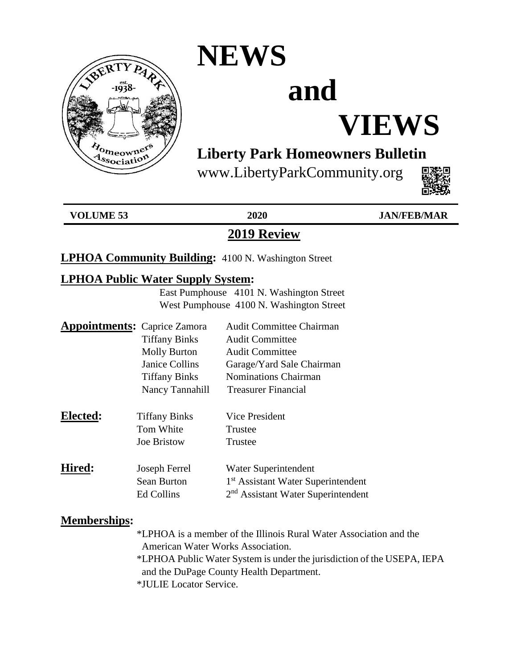

### **NEWS**

# **and**

## **VIEWS**

### **Liberty Park Homeowners Bulletin**

www.LibertyParkCommunity.org



**VOLUME 53 2020 JAN/FEB/MAR**

### **2019 Review**

#### **LPHOA Community Building:** 4100 N. Washington Street

#### **LPHOA Public Water Supply System:**

 East Pumphouse 4101 N. Washington Street West Pumphouse 4100 N. Washington Street

| <b>Appointments:</b> Caprice Zamora |                       | <b>Audit Committee Chairman</b>                |
|-------------------------------------|-----------------------|------------------------------------------------|
|                                     | <b>Tiffany Binks</b>  | <b>Audit Committee</b>                         |
|                                     | <b>Molly Burton</b>   | <b>Audit Committee</b>                         |
|                                     | <b>Janice Collins</b> | Garage/Yard Sale Chairman                      |
|                                     | <b>Tiffany Binks</b>  | <b>Nominations Chairman</b>                    |
|                                     | Nancy Tannahill       | <b>Treasurer Financial</b>                     |
| Elected:                            | <b>Tiffany Binks</b>  | Vice President                                 |
|                                     | Tom White             | Trustee                                        |
|                                     | Joe Bristow           | Trustee                                        |
| Hired:                              | Joseph Ferrel         | Water Superintendent                           |
|                                     | <b>Sean Burton</b>    | 1 <sup>st</sup> Assistant Water Superintendent |
|                                     | Ed Collins            | 2 <sup>nd</sup> Assistant Water Superintendent |

#### **Memberships:**

 \*LPHOA is a member of the Illinois Rural Water Association and the American Water Works Association.

 \*LPHOA Public Water System is under the jurisdiction of the USEPA, IEPA and the DuPage County Health Department.

\*JULIE Locator Service.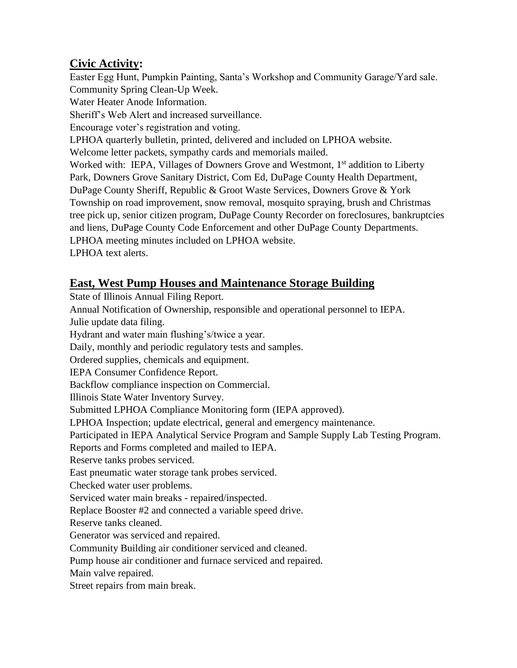#### **Civic Activity:**

Easter Egg Hunt, Pumpkin Painting, Santa's Workshop and Community Garage/Yard sale. Community Spring Clean-Up Week. Water Heater Anode Information. Sheriff's Web Alert and increased surveillance.

Encourage voter's registration and voting.

LPHOA quarterly bulletin, printed, delivered and included on LPHOA website.

Welcome letter packets, sympathy cards and memorials mailed.

Worked with: IEPA, Villages of Downers Grove and Westmont, 1<sup>st</sup> addition to Liberty Park, Downers Grove Sanitary District, Com Ed, DuPage County Health Department, DuPage County Sheriff, Republic & Groot Waste Services, Downers Grove & York Township on road improvement, snow removal, mosquito spraying, brush and Christmas tree pick up, senior citizen program, DuPage County Recorder on foreclosures, bankruptcies and liens, DuPage County Code Enforcement and other DuPage County Departments. LPHOA meeting minutes included on LPHOA website. LPHOA text alerts.

#### **East, West Pump Houses and Maintenance Storage Building**

State of Illinois Annual Filing Report.

Annual Notification of Ownership, responsible and operational personnel to IEPA.

Julie update data filing.

Hydrant and water main flushing's/twice a year.

Daily, monthly and periodic regulatory tests and samples.

Ordered supplies, chemicals and equipment.

IEPA Consumer Confidence Report.

Backflow compliance inspection on Commercial.

Illinois State Water Inventory Survey.

Submitted LPHOA Compliance Monitoring form (IEPA approved).

LPHOA Inspection; update electrical, general and emergency maintenance.

Participated in IEPA Analytical Service Program and Sample Supply Lab Testing Program.

Reports and Forms completed and mailed to IEPA.

Reserve tanks probes serviced.

East pneumatic water storage tank probes serviced.

Checked water user problems.

Serviced water main breaks - repaired/inspected.

Replace Booster #2 and connected a variable speed drive.

Reserve tanks cleaned.

Generator was serviced and repaired.

Community Building air conditioner serviced and cleaned.

Pump house air conditioner and furnace serviced and repaired.

Main valve repaired.

Street repairs from main break.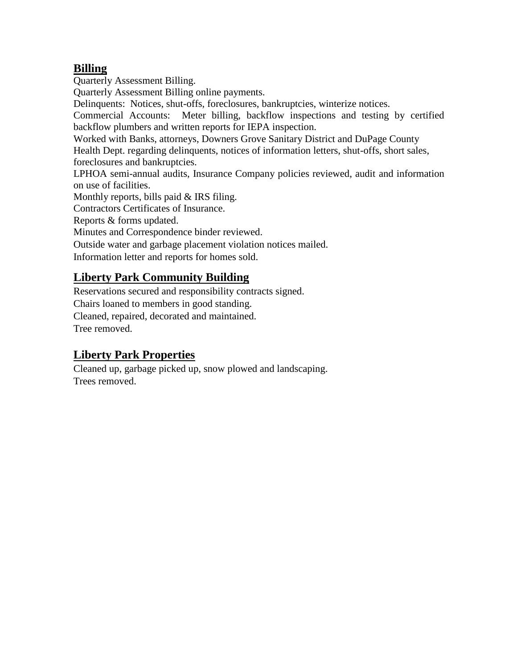#### **Billing**

Quarterly Assessment Billing.

Quarterly Assessment Billing online payments.

Delinquents: Notices, shut-offs, foreclosures, bankruptcies, winterize notices.

Commercial Accounts: Meter billing, backflow inspections and testing by certified backflow plumbers and written reports for IEPA inspection.

Worked with Banks, attorneys, Downers Grove Sanitary District and DuPage County

Health Dept. regarding delinquents, notices of information letters, shut-offs, short sales, foreclosures and bankruptcies.

LPHOA semi-annual audits, Insurance Company policies reviewed, audit and information on use of facilities.

Monthly reports, bills paid & IRS filing.

Contractors Certificates of Insurance.

Reports & forms updated.

Minutes and Correspondence binder reviewed.

Outside water and garbage placement violation notices mailed.

Information letter and reports for homes sold.

#### **Liberty Park Community Building**

Reservations secured and responsibility contracts signed.

Chairs loaned to members in good standing.

Cleaned, repaired, decorated and maintained.

Tree removed.

#### **Liberty Park Properties**

Cleaned up, garbage picked up, snow plowed and landscaping. Trees removed.